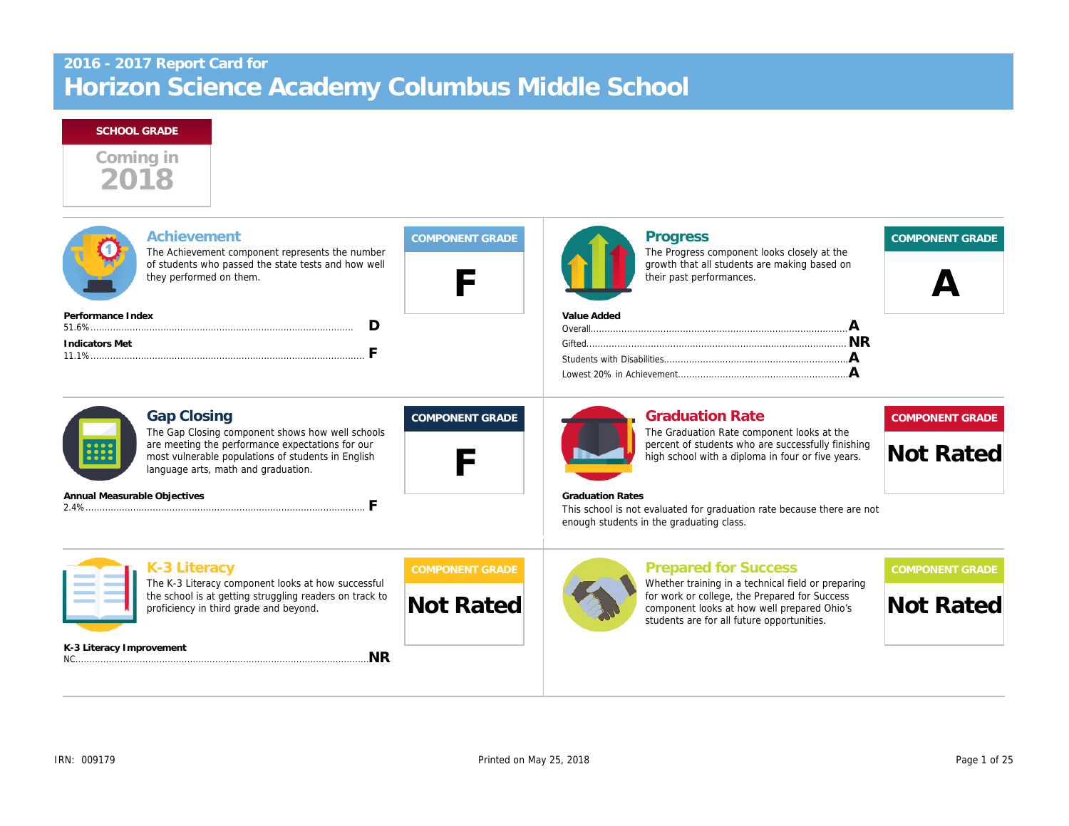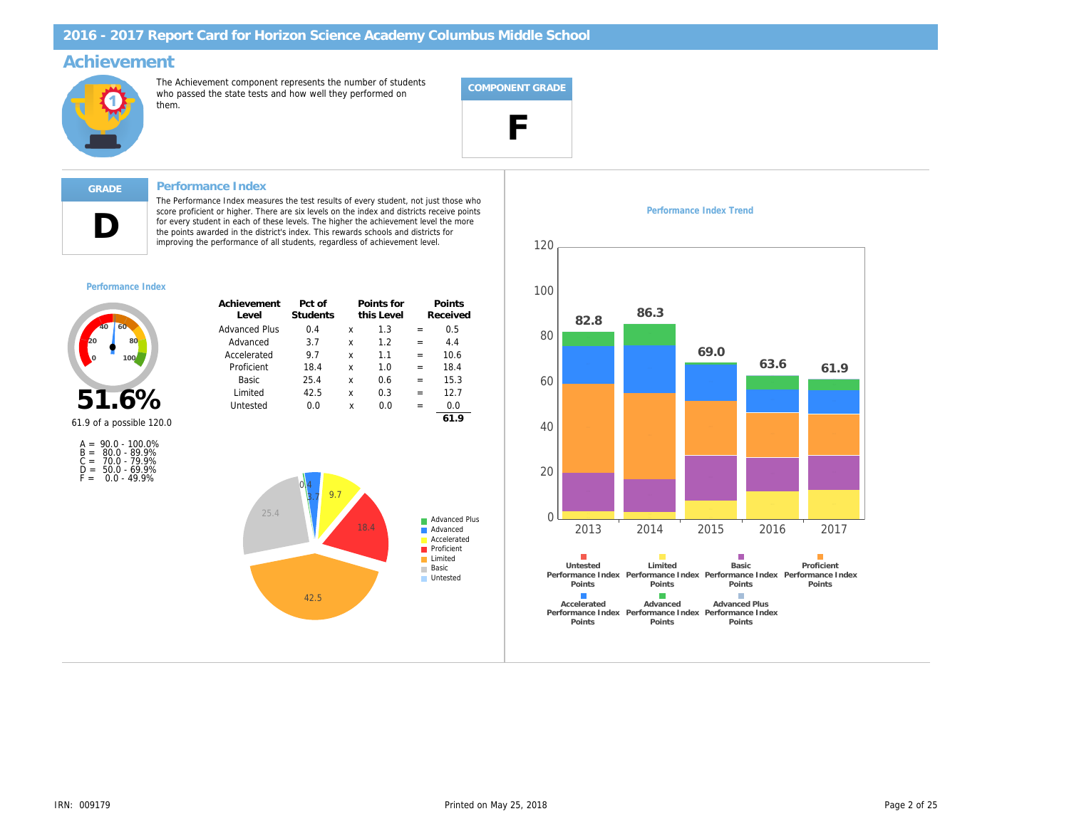## Achievement

The Achievement component represents the number of students who passed the state tests and how well they performed on them.



### Performance Index

The Performance Index measures the test results of every student, not just those who<br>score proficient or higher. There are six levels on the index and districts receive points<br>for every student in each of these levels. The improving the performance of all students, regardless of achievement level.

#### Performance Index

D

| Achievement<br>Level | Pct of<br><b>Students</b> |   | Points for<br>this Level |     | Points<br>Received |
|----------------------|---------------------------|---|--------------------------|-----|--------------------|
| Advanced Plus        | 0.4                       | x | 1.3                      | $=$ | 0.5                |
| Advanced             | 3.7                       | x | 12                       | $=$ | 4.4                |
| Accelerated          | 9.7                       | x | 11                       | $=$ | 10.6               |
| Proficient           | 18.4                      | x | 1.0                      | $=$ | 18.4               |
| Basic                | 25.4                      | x | 0.6                      | $=$ | 15.3               |
| Limited              | 42.5                      | x | 0.3                      | $=$ | 12.7               |
| Untested             | 0.0                       | X | 0.0                      | $=$ | 0.0                |
|                      |                           |   |                          |     | 61.9               |

51.6% 61.9 of a possible 120.0

|       | $A = 90.0 - 100.0\%$ |
|-------|----------------------|
|       | $B = 80.0 - 89.9%$   |
| $C =$ | 70.0 - 79.9%         |
| D =   | $50.0 - 69.9%$       |
| F =   | $0.0 - 49.9%$        |

Performance Index Trend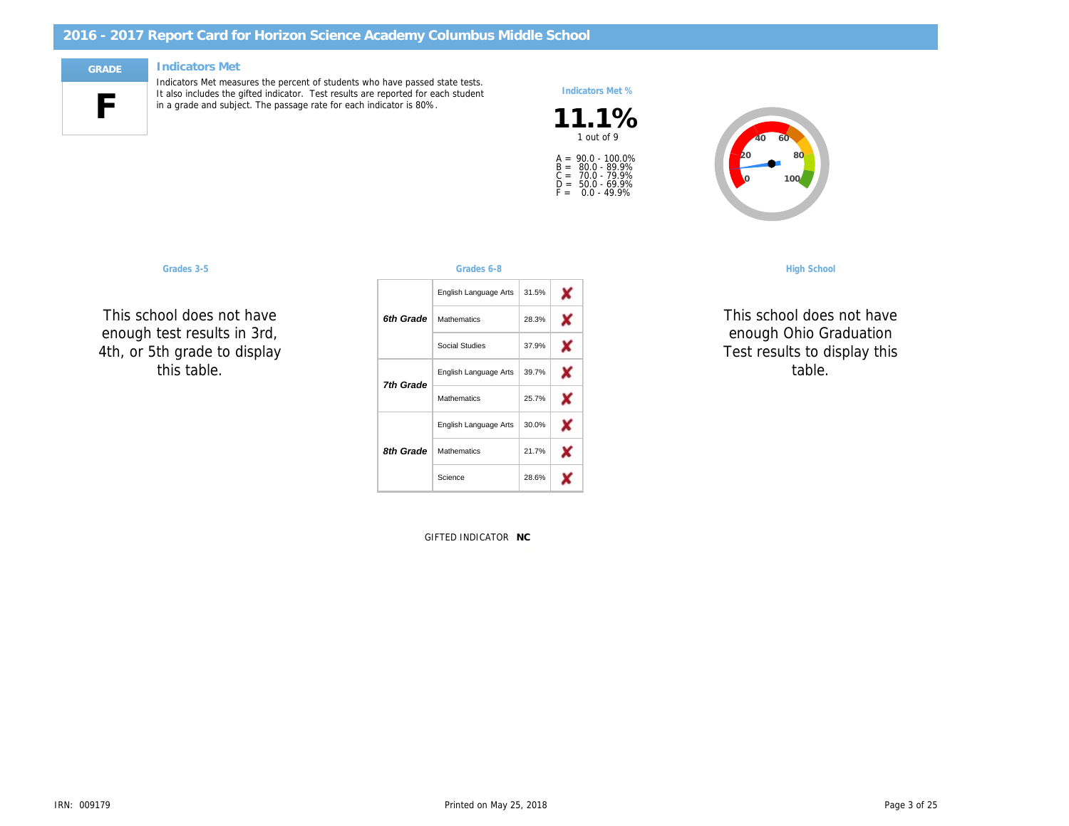#### Indicators Met

F

Indicators Met measures the percent of students who have passed state tests. It also includes the gifted indicator. Test results are reported for each student in a grade and subject. The passage rate for each indicator is 80%.

### Indicators Met %

 $11.1\%$ A =<br>B =<br>C =<br>D =<br>F = 90.0 - 100.0% 80.0 - 89.9% 70.0 - 79.9% 50.0 - 69.9% 0.0 - 49.9%

#### Grades 3-5 Grades 6-8 High School

This school does not have enough test results in 3rd, 4th, or 5th grade to display this table.

|           | English Language Arts | 31.5% |
|-----------|-----------------------|-------|
| 6th Grade | <b>Mathematics</b>    | 28.3% |
|           | Social Studies        | 37.9% |
| 7th Grade | English Language Arts | 39.7% |
|           | <b>Mathematics</b>    | 25.7% |
|           | English Language Arts | 30.0% |
| 8th Grade | <b>Mathematics</b>    | 21.7% |
|           | Science               | 28.6% |

**GIFTED INDICATOF NC** 

This school doe enough Ohio C Test results to d table.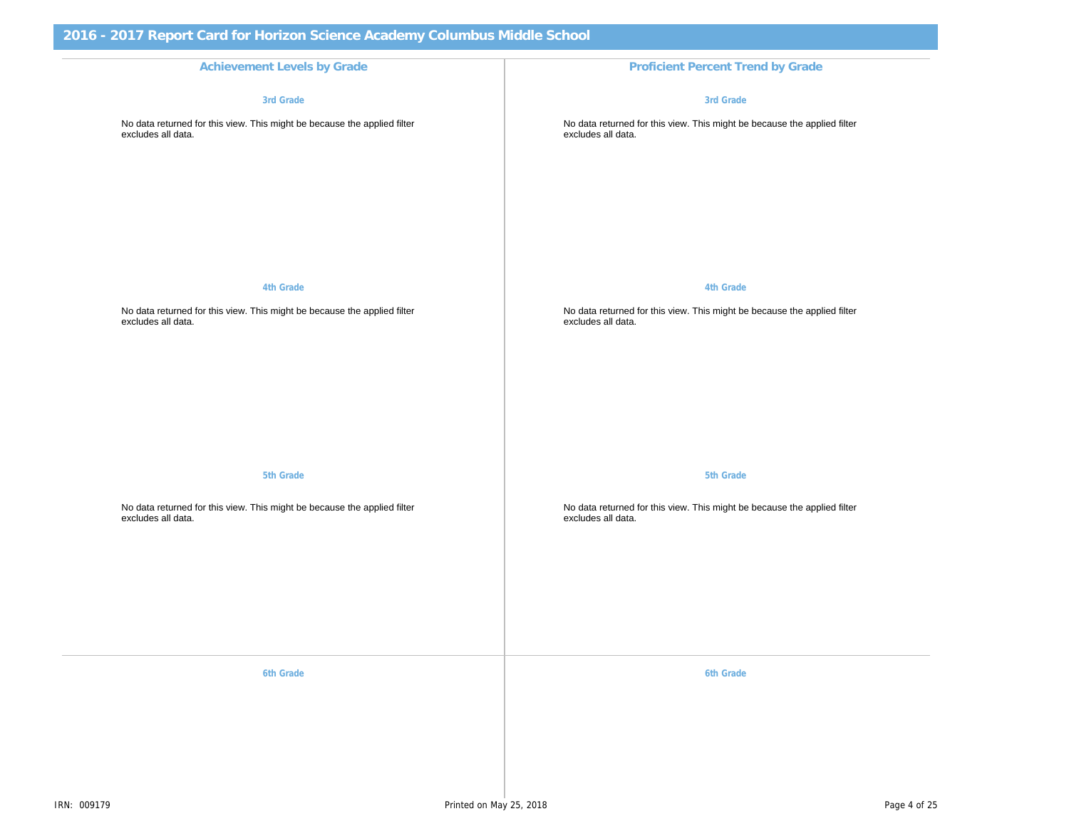Achievement Levels by Grade **Proficient Percent Trend by Grade** Proficient Percent Trend by Grade 3rd Grade No data returned for this view. This might be because the applied filter excludes all data.

4th Grade

No data returned for this view. This might be because the applied filter excludes all data.

5th Grade

No data returned for this view. This might be because the applied filter excludes all data.

6th Grade 6th Grade 6th Grade 6th Grade 6th Grade 6th Grade 6th Grade 6th Grade 6th Grade 6th Grade 6th Grade

3rd Grade

No data returned for this view. This might be because the appli excludes all data.

4th Grade

No data returned for this view. This might be because the appli excludes all data.

5th Grade

No data returned for this view. This might be because the appli excludes all data.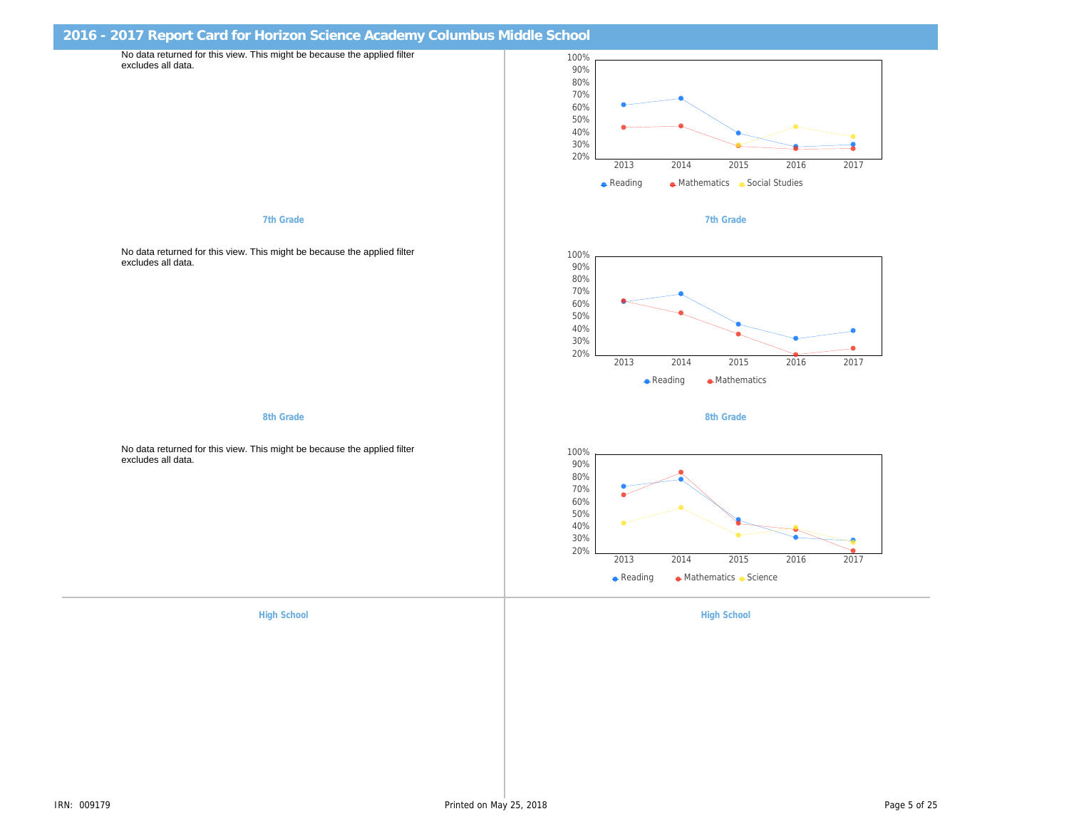|                                                                                                | 2016 - 2017 Report Card for Horizon Science Academy Columbus Middle School |  |  |  |  |
|------------------------------------------------------------------------------------------------|----------------------------------------------------------------------------|--|--|--|--|
| No data returned for this view. This might be because the applied filter<br>excludes all data. |                                                                            |  |  |  |  |
|                                                                                                |                                                                            |  |  |  |  |
|                                                                                                |                                                                            |  |  |  |  |
|                                                                                                |                                                                            |  |  |  |  |
|                                                                                                |                                                                            |  |  |  |  |
|                                                                                                |                                                                            |  |  |  |  |
|                                                                                                |                                                                            |  |  |  |  |
|                                                                                                |                                                                            |  |  |  |  |
| 7th Grade                                                                                      | 7th Grade                                                                  |  |  |  |  |
|                                                                                                |                                                                            |  |  |  |  |
| No data returned for this view. This might be because the applied filter                       |                                                                            |  |  |  |  |
| excludes all data.                                                                             |                                                                            |  |  |  |  |
|                                                                                                |                                                                            |  |  |  |  |
|                                                                                                |                                                                            |  |  |  |  |
|                                                                                                |                                                                            |  |  |  |  |
|                                                                                                |                                                                            |  |  |  |  |
|                                                                                                |                                                                            |  |  |  |  |
|                                                                                                |                                                                            |  |  |  |  |
| 8th Grade                                                                                      | 8th Grade                                                                  |  |  |  |  |
|                                                                                                |                                                                            |  |  |  |  |
| No data returned for this view. This might be because the applied filter<br>excludes all data. |                                                                            |  |  |  |  |
|                                                                                                |                                                                            |  |  |  |  |
|                                                                                                |                                                                            |  |  |  |  |
|                                                                                                |                                                                            |  |  |  |  |
|                                                                                                |                                                                            |  |  |  |  |
|                                                                                                |                                                                            |  |  |  |  |
|                                                                                                |                                                                            |  |  |  |  |
|                                                                                                |                                                                            |  |  |  |  |
| <b>High School</b>                                                                             | <b>High School</b>                                                         |  |  |  |  |
|                                                                                                |                                                                            |  |  |  |  |
|                                                                                                |                                                                            |  |  |  |  |
|                                                                                                |                                                                            |  |  |  |  |
|                                                                                                |                                                                            |  |  |  |  |
|                                                                                                |                                                                            |  |  |  |  |
|                                                                                                |                                                                            |  |  |  |  |
|                                                                                                |                                                                            |  |  |  |  |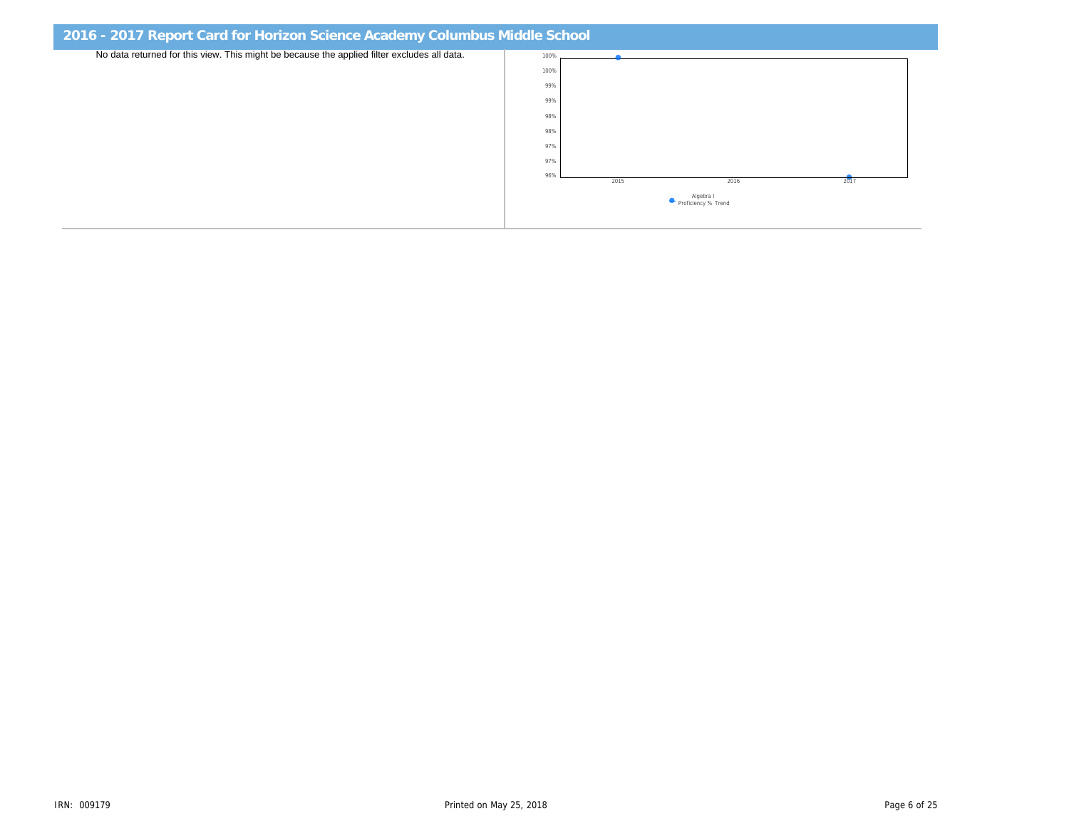| 2016 - 2017 Report Card for Horizon Science Academy Columbus Middle School                  |  |  |  |  |  |
|---------------------------------------------------------------------------------------------|--|--|--|--|--|
| No data returned for this view. This might be because the applied filter excludes all data. |  |  |  |  |  |
|                                                                                             |  |  |  |  |  |
|                                                                                             |  |  |  |  |  |
|                                                                                             |  |  |  |  |  |
|                                                                                             |  |  |  |  |  |
|                                                                                             |  |  |  |  |  |
|                                                                                             |  |  |  |  |  |
|                                                                                             |  |  |  |  |  |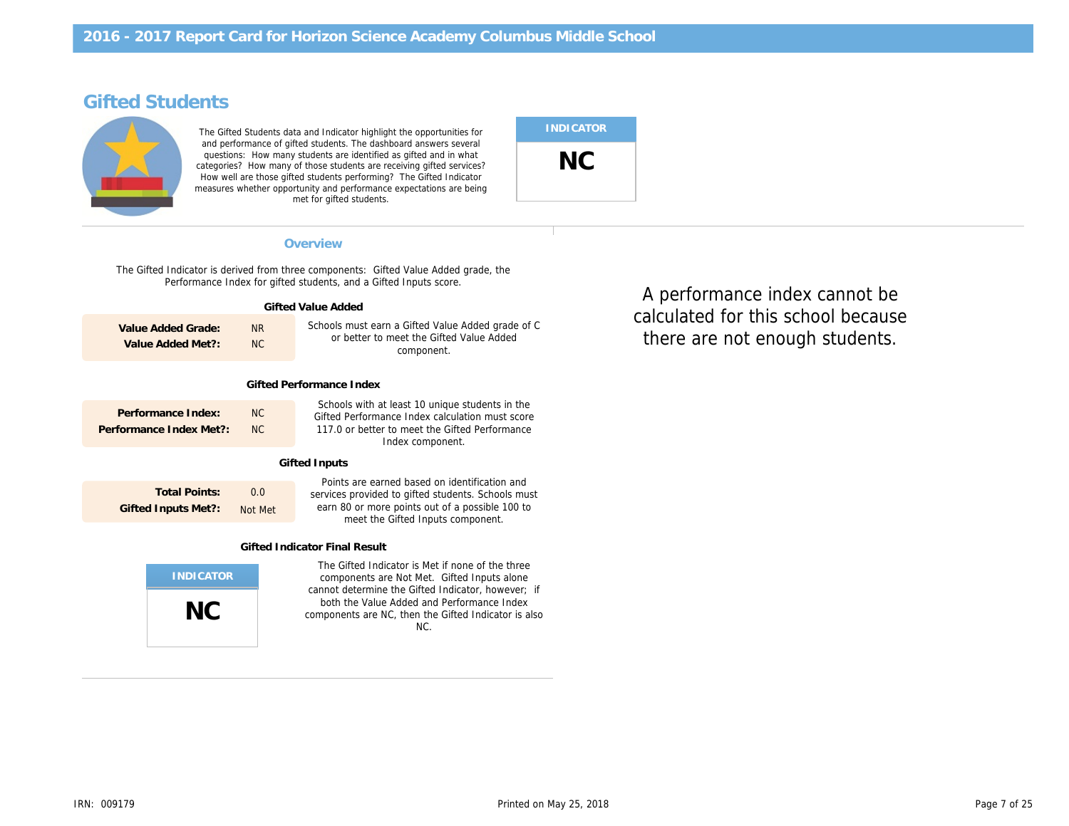# Gifted Students

The Gifted Students data and Indicator highlight the opportunities for and performance of gifted students. The dashboard answers several questions: How many students are identified as gifted and in what categories? How many of those students are receiving gifted services? How well are those gifted students performing? The Gifted Indicator measures whether opportunity and performance expectations are being met for gifted students.

#### Overview Performance Index and the extension of the extension of the extension of the extension of the extension of the extension of the extension of the extension of the extension of the extension of the extension of the

The Gifted Indicator is derived from three components: Gifted Value Added grade, the Performance Index for gifted students, and a Gifted Inputs score.

| Gifted Value Added                                                                              |                                               |                  |                                                                                                                                                                                             |  |  |  |  |
|-------------------------------------------------------------------------------------------------|-----------------------------------------------|------------------|---------------------------------------------------------------------------------------------------------------------------------------------------------------------------------------------|--|--|--|--|
| Value Added Grade:<br>N <sub>R</sub><br><b>NC</b><br>Value Added Met?:                          |                                               |                  | Schools must earn a Gifted Value Added grade of C<br>or better to meet the Gifted Value Added<br>component.                                                                                 |  |  |  |  |
|                                                                                                 | Gifted Performance Index                      |                  |                                                                                                                                                                                             |  |  |  |  |
|                                                                                                 | Performance Index:<br>Performance Index Met?: | NC.<br><b>NC</b> | Schools with at least 10 unique students in the<br>Gifted Performance Index calculation must score<br>117.0 or better to meet the Gifted Performance<br>Index component.                    |  |  |  |  |
|                                                                                                 | Gifted Inputs                                 |                  |                                                                                                                                                                                             |  |  |  |  |
| <b>Total Points:</b><br>0.0<br><b>Gifted Inputs Met?:</b><br>Not Met                            |                                               |                  | Points are earned based on identification and<br>services provided to gifted students. Schools must<br>earn 80 or more points out of a possible 100 to<br>meet the Gifted Inputs component. |  |  |  |  |
| <b>Gifted Indicator Final Result</b>                                                            |                                               |                  |                                                                                                                                                                                             |  |  |  |  |
| The Gifted Indicator is Met if none of the three<br>components are Not Met. Gifted Inputs alone |                                               |                  |                                                                                                                                                                                             |  |  |  |  |
|                                                                                                 | NC                                            |                  | cannot determine the Gifted Indicator, however; if<br>both the Value Added and Performance Index<br>components are NC, then the Gifted Indicator is also<br>NC.                             |  |  |  |  |
|                                                                                                 |                                               |                  |                                                                                                                                                                                             |  |  |  |  |

calculated for this schoo Level Students there are not enough s A performance index c

INDICATOR

NC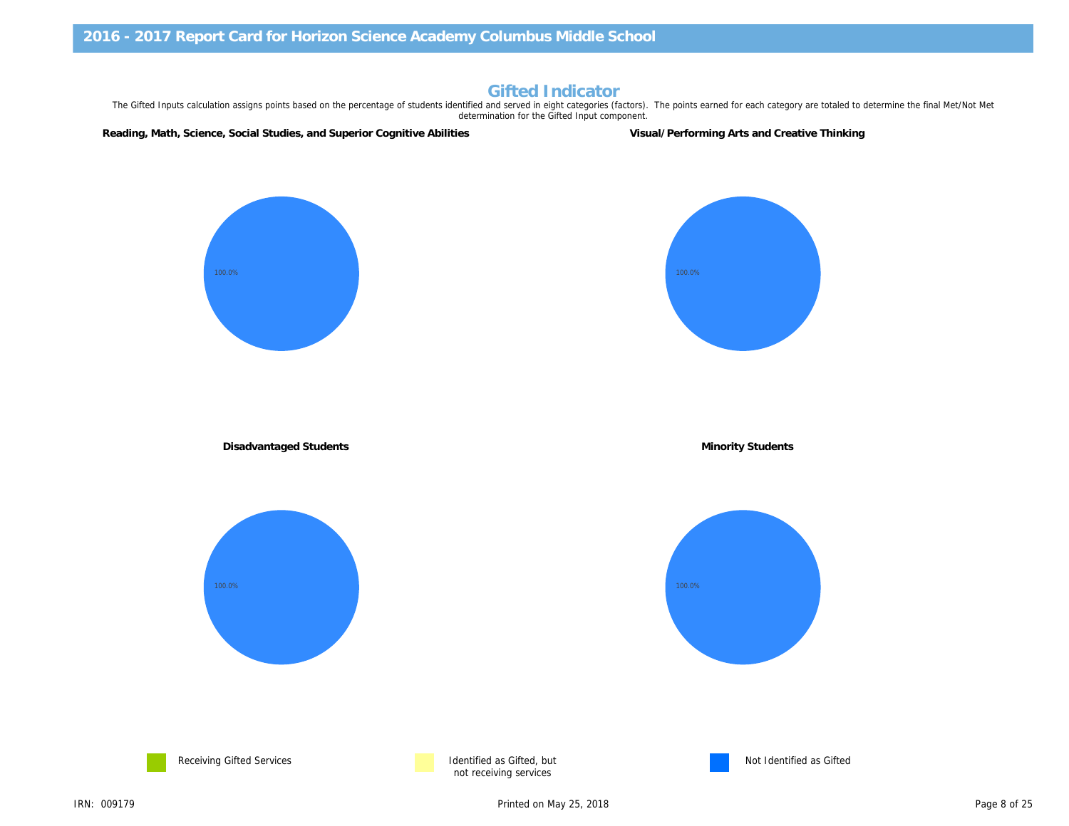# Gifted Indicator

The Gifted Inputs calculation assigns points based on the percentage of students identified and served in eight categories (factors). The points earned for each category are to determination for the Gifted Input component.

Reading, Math, Science, Social Studies, and Superior Cognitive Abilities Visual/Performing Arts and Creative Thinkin

Disadvantaged Students **Minority Students** Minority Students





not receiving services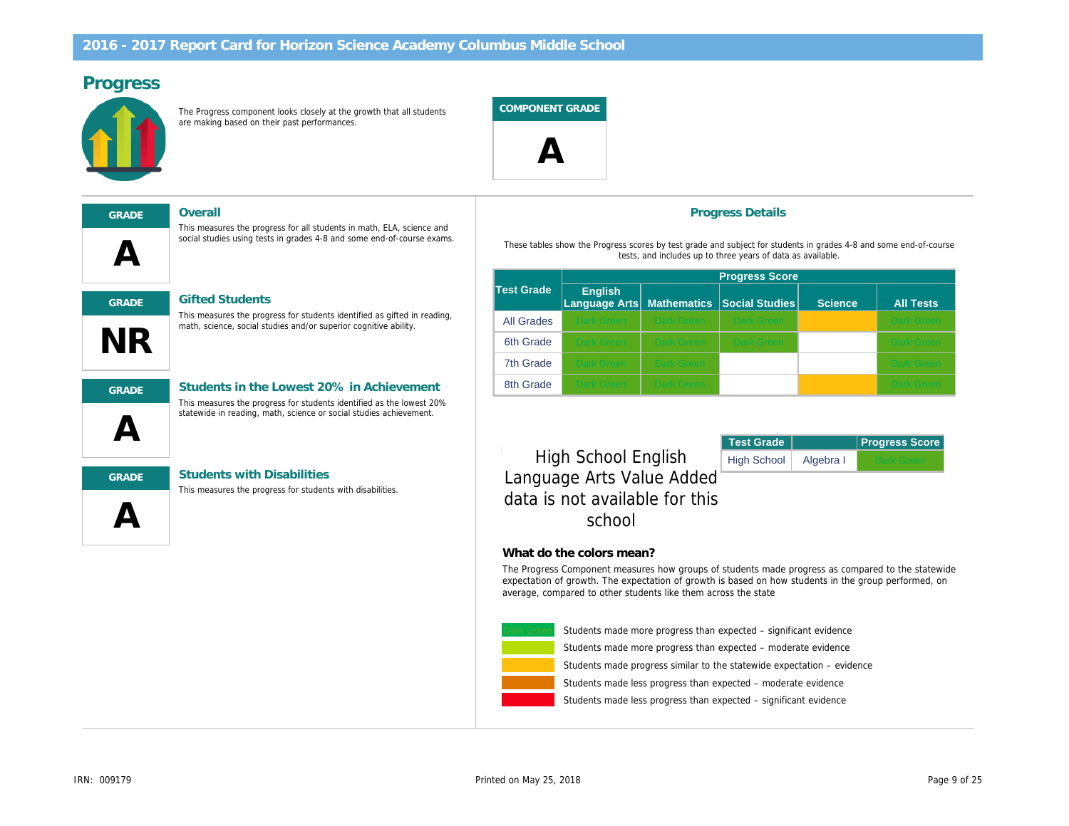## Progress

The Progress component looks closely at the growth that all students are making based on their past performances.

COMPONENT GRADE

 $\boldsymbol{\mathsf{\Delta}}$ 

 $\boldsymbol{\mathsf{A}}$ 

GRADE Overall

### GRADE Gifted Students

This measures the progress for students identified as gifted in reading, math, science, social studies and/or superior cognitive ability.

This measures the progress for all students in math, ELA, science and social studies using tests in grades 4-8 and some end-of-course exams.



NR

GRADE Students in the Lowest 20% in Achievement This measures the progress for students identified as the lowest 20% statewide in reading, math, science or social studies achievement.



#### GRADE Students with Disabilities

This measures the progress for students with disabilities.

#### Progress Details

Test Grade

These tables show the Progress scores by test grade and subject for students in gr tests, and includes up to three years of data as availa

|                   | <b>Progress Score</b>           |                    |                       |    |  |
|-------------------|---------------------------------|--------------------|-----------------------|----|--|
| <b>Test Grade</b> | <b>English</b><br>Language Arts | <b>Mathematics</b> | <b>Social Studies</b> | S( |  |
| <b>All Grades</b> | <b>Dark Green</b>               | <b>Dark Green</b>  | <b>Dark Green</b>     |    |  |
| 6th Grade         | <b>Dark Green</b>               | <b>Dark Green</b>  | <b>Dark Green</b>     |    |  |
| 7th Grade         | <b>Dark Green</b>               | <b>Dark Green</b>  |                       |    |  |
| 8th Grade         | <b>Dark Green</b>               | <b>Dark Green</b>  |                       |    |  |

High School English High School Algeb Language Arts Value Added data is not available for this school

#### What do the colors mean?

The Progress Component measures how groups of students made progres expectation of growth. The expectation of growth is based on how students average, compared to other students like them across the state



Students made less progress than expected – significant evid Students made less progress than expected – moderate evid Students made progress similar to the statewide expectation Students made more progress than expected – moderate evi Students made more progress than expected – significant ev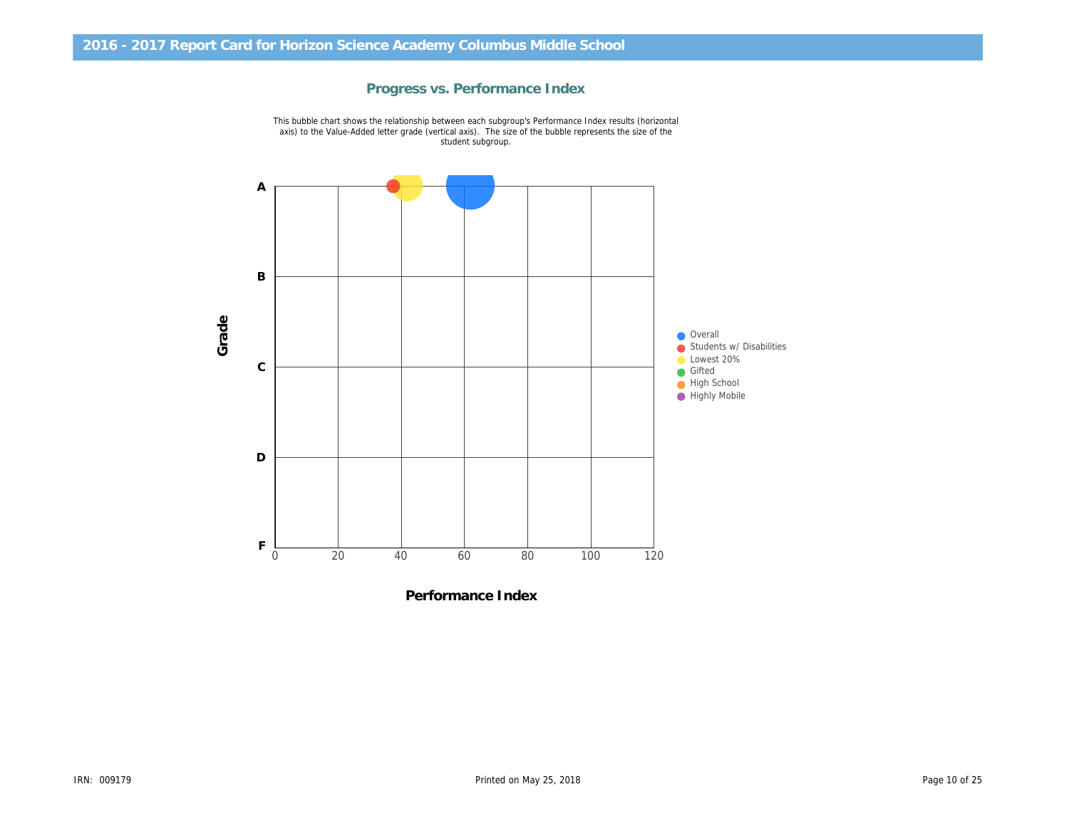

Progress vs. Performance Index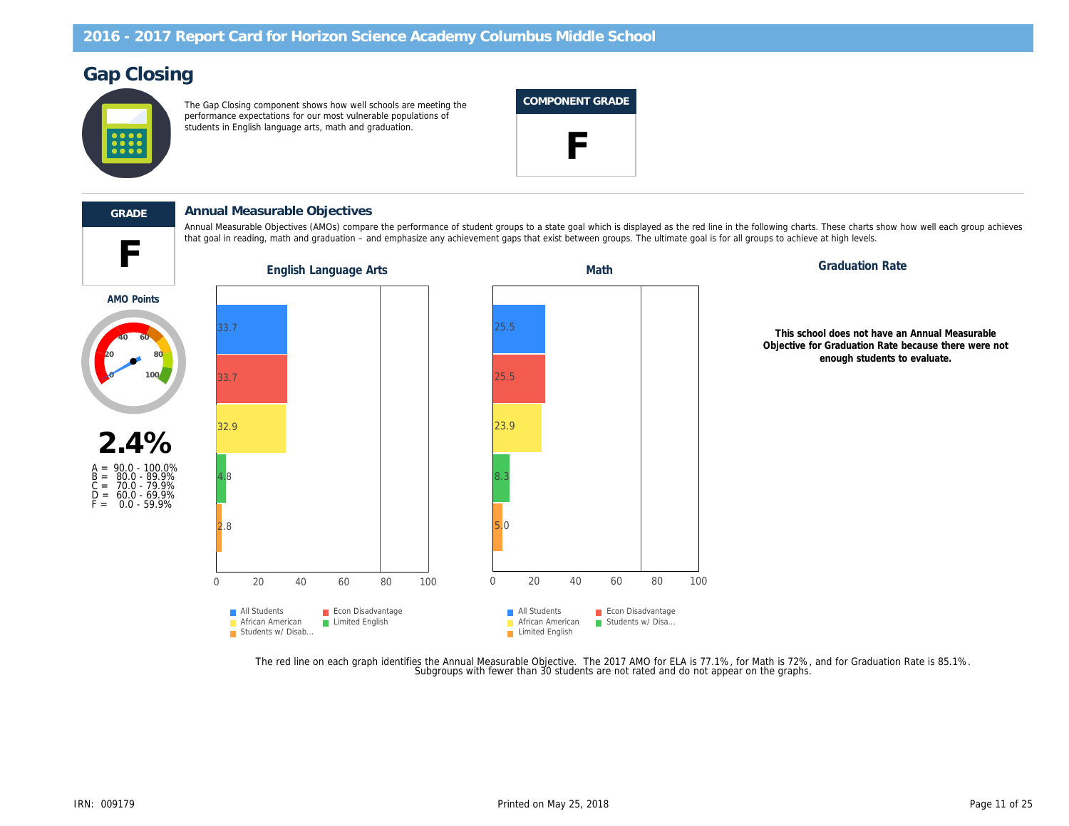# Gap Closing

The Gap Closing component shows how well schools are meeting the performance expectations for our most vulnerable populations of students in English language arts, math and graduation.

# COMPONENT GRADE





#### GRADE Annual Measurable Objectives

Annual Measurable Objectives (AMOs) compare the performance of student groups to a state goal which is displayed as the red line in the following charts. T that goal in reading, math and graduation – and emphasize any achievement gaps that exist between groups. The ultimate goal is for all groups to achieve at

English Language Arts **Graduation Rate** Math Math Graduation Rate Control Rate Control Rate Control Rate Control Rate Control Rate Control Rate Control Rate Control Rate Control Rate Control Rate Control Rate Control Rate

AMO Points

This schoo Objective for ( e



The red line on each graph identifies the Annual Measurable Objective. The 2017 AMO for ELA is 77.1%, for Math is 72%, an<br>Subgroups with fewer than 30 students are not rated and do not appear on the graphs.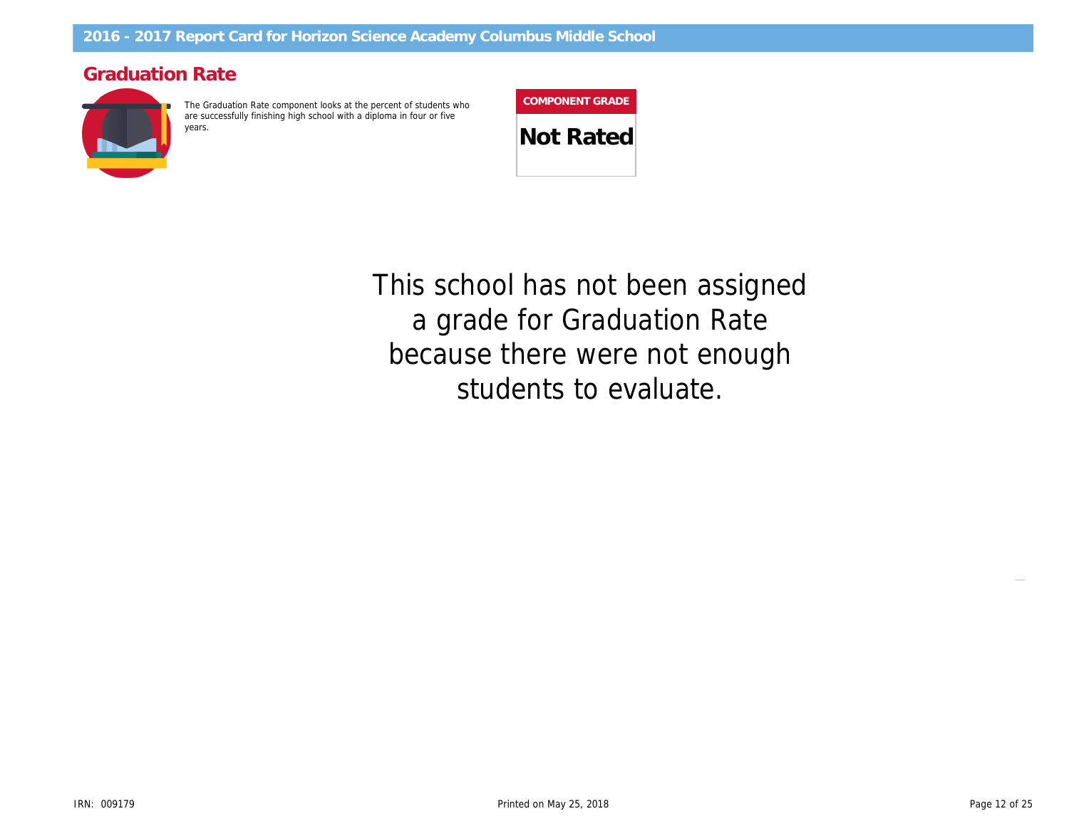# Graduation Rate

The Graduation Rate component looks at the percent of students who are successfully finishing high school with a diploma in four or five

| <b>COMPONENT GRADE</b> |  |
|------------------------|--|
|                        |  |

**Not Rated** 

This school has not been assigned a grade for Graduation Rate because there were not enough students to evaluate.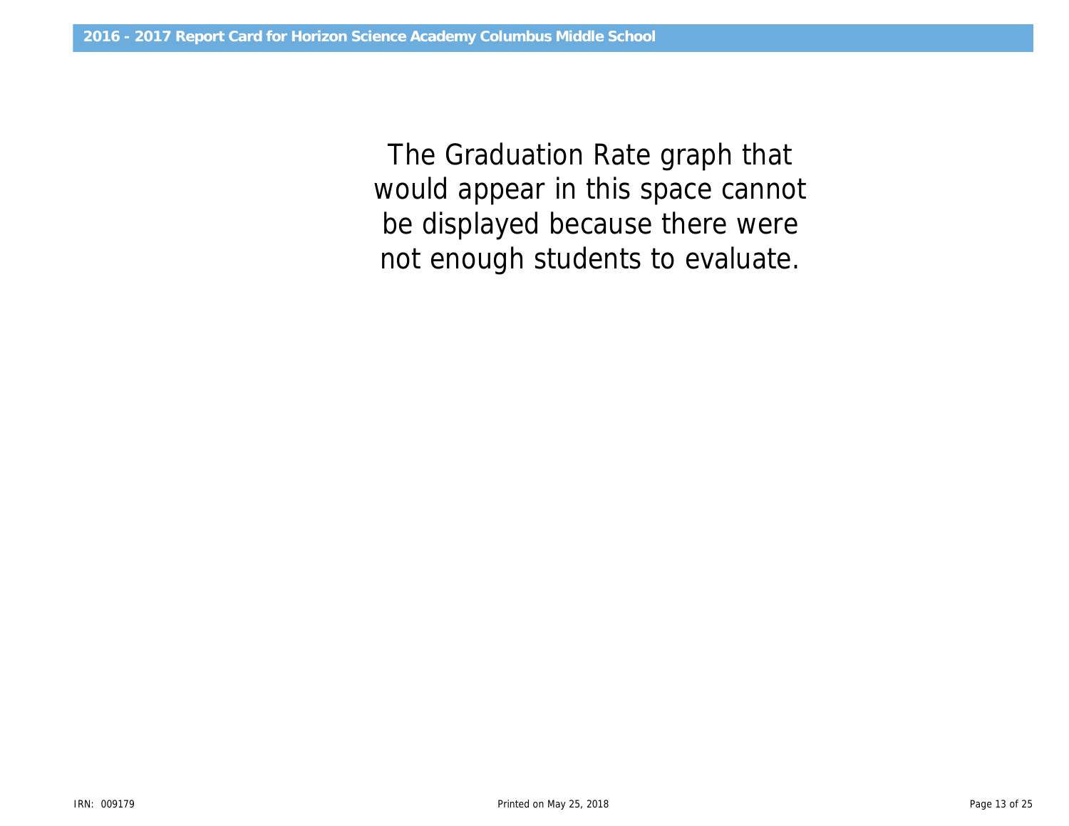would appear in this space cannot The Graduation Rate graph that be displayed because there were not enough students to evaluate.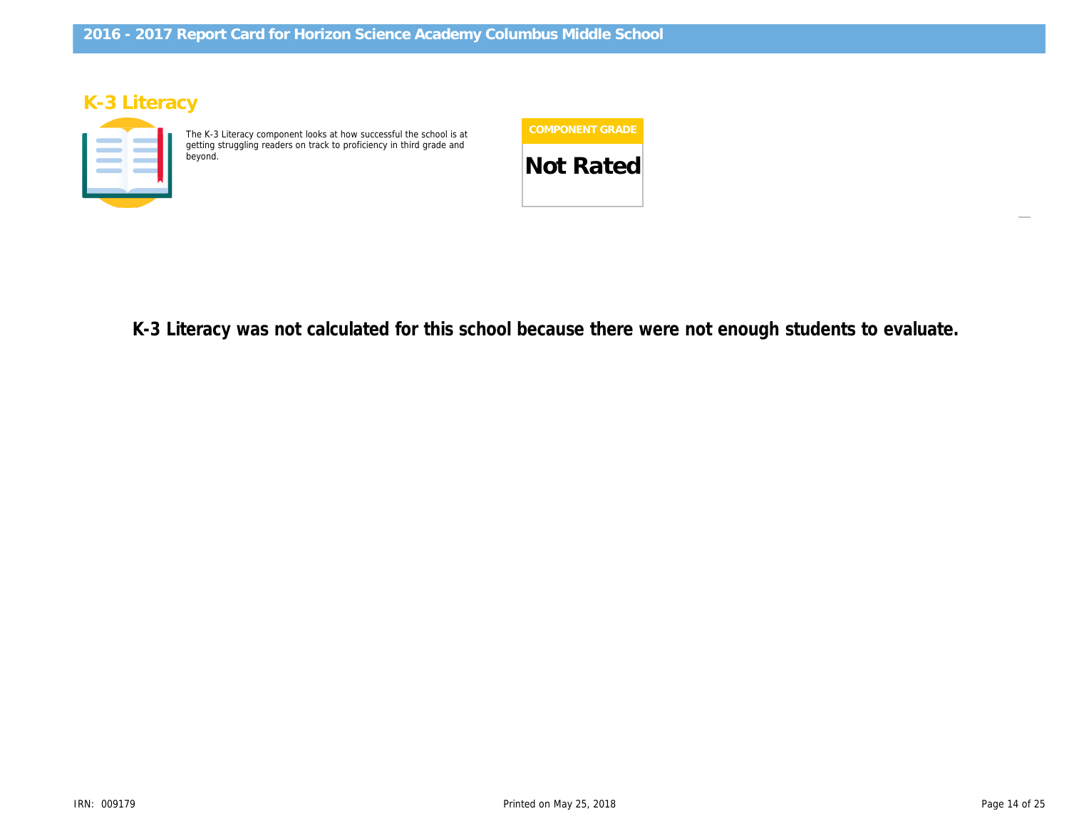# K-3 Literacy

The K-3 Literacy component looks at how successful the school is at getting struggling readers on track to proficiency in third grade and



 $\overline{1}$ K-3 Literacy was not calculated for this school because there were not enough stude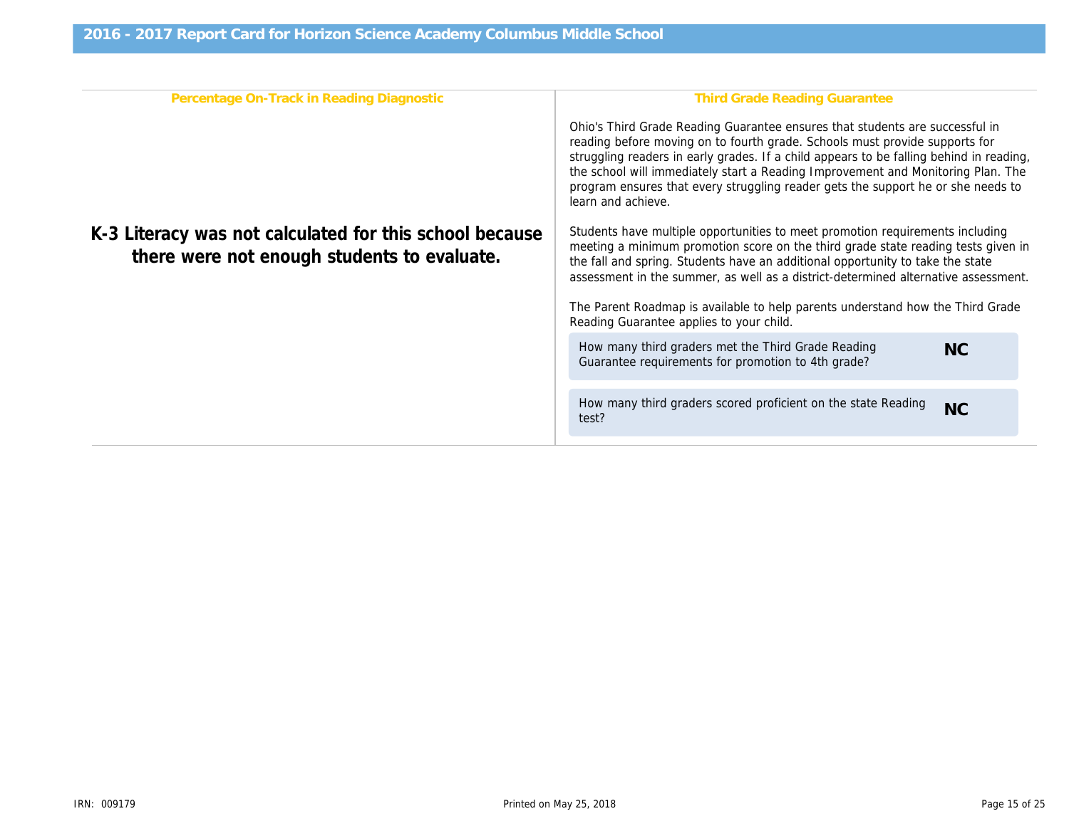| Percentage On-Track in Reading Diagnostic                                                              | Third Grade Reading Gr                                                                                                                                                                                                                                                        |
|--------------------------------------------------------------------------------------------------------|-------------------------------------------------------------------------------------------------------------------------------------------------------------------------------------------------------------------------------------------------------------------------------|
|                                                                                                        | Ohio's Third Grade Reading Guarantee ensure<br>reading before moving on to fourth grade. Scho<br>struggling readers in early grades. If a child ap<br>the school will immediately start a Reading Imp<br>program ensures that every struggling reader g<br>learn and achieve. |
| K-3 Literacy was not calculated for this school because<br>there were not enough students to evaluate. | Students have multiple opportunities to meet p<br>meeting a minimum promotion score on the thi<br>the fall and spring. Students have an additional<br>assessment in the summer, as well as a distric                                                                          |
|                                                                                                        | The Parent Roadmap is available to help parer<br>Reading Guarantee applies to your child.                                                                                                                                                                                     |
|                                                                                                        | How many third graders met the Third Grade<br>Guarantee requirements for promotion to 4th                                                                                                                                                                                     |
|                                                                                                        | How many third graders scored proficient on<br>test?                                                                                                                                                                                                                          |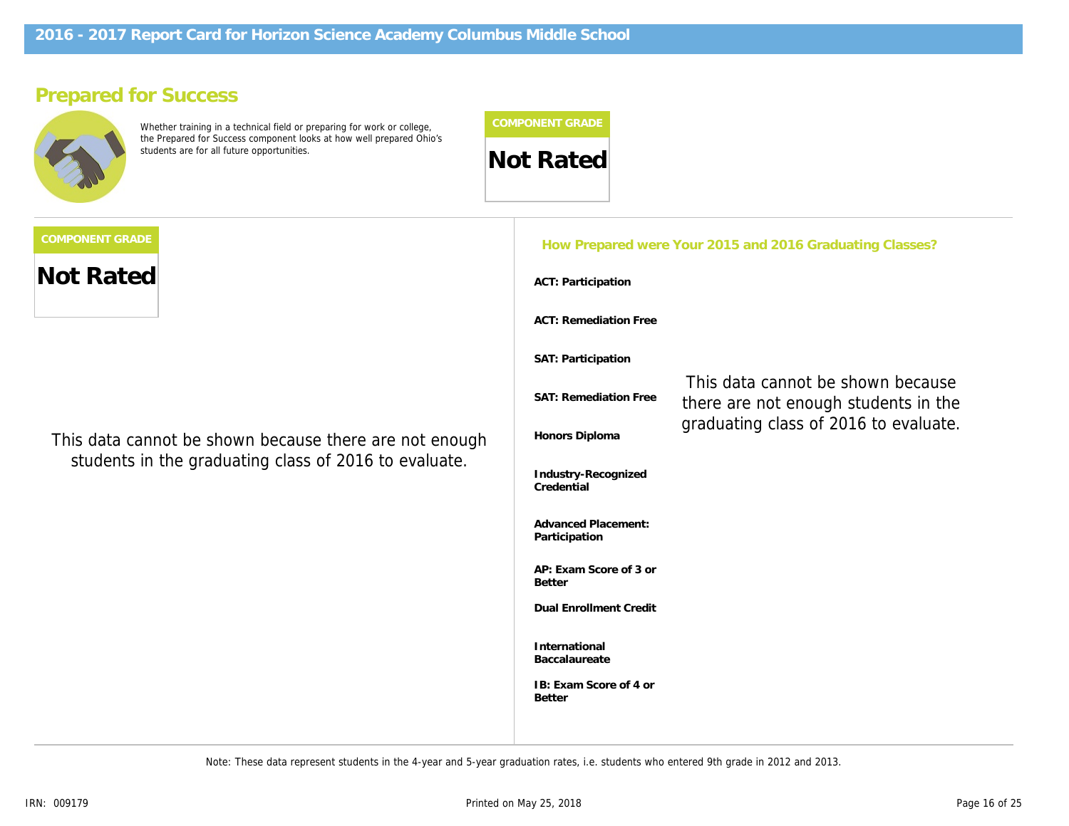# Prepared for Success

Whether training in a technical field or preparing for work or college, the Prepared for Success component looks at how well prepared Ohio's



|                                                                                                                 |                                             | How Prepared were Your 2015 and 2016 Graduati |  |
|-----------------------------------------------------------------------------------------------------------------|---------------------------------------------|-----------------------------------------------|--|
| <b>Not Rated</b>                                                                                                | <b>ACT: Participation</b>                   |                                               |  |
|                                                                                                                 | <b>ACT: Remediation Free</b>                |                                               |  |
|                                                                                                                 | SAT: Participation                          |                                               |  |
|                                                                                                                 | <b>SAT: Remediation Free</b>                | This data cannot b<br>there are not enoug     |  |
| This data cannot be shown because there are not enough<br>students in the graduating class of 2016 to evaluate. | Honors Diploma                              | graduating class of                           |  |
|                                                                                                                 | Industry-Recognized<br>Credential           |                                               |  |
|                                                                                                                 | <b>Advanced Placement:</b><br>Participation |                                               |  |
|                                                                                                                 | AP: Exam Score of 3 or<br><b>Better</b>     |                                               |  |
|                                                                                                                 | <b>Dual Enrollment Credit</b>               |                                               |  |
|                                                                                                                 | International<br>Baccalaureate              |                                               |  |
|                                                                                                                 | IB: Exam Score of 4 or<br><b>Better</b>     |                                               |  |
|                                                                                                                 |                                             |                                               |  |

Note: These data represent students in the 4-year and 5-year graduation rates, i.e. students who entered 9th grade in 2012 and 2013.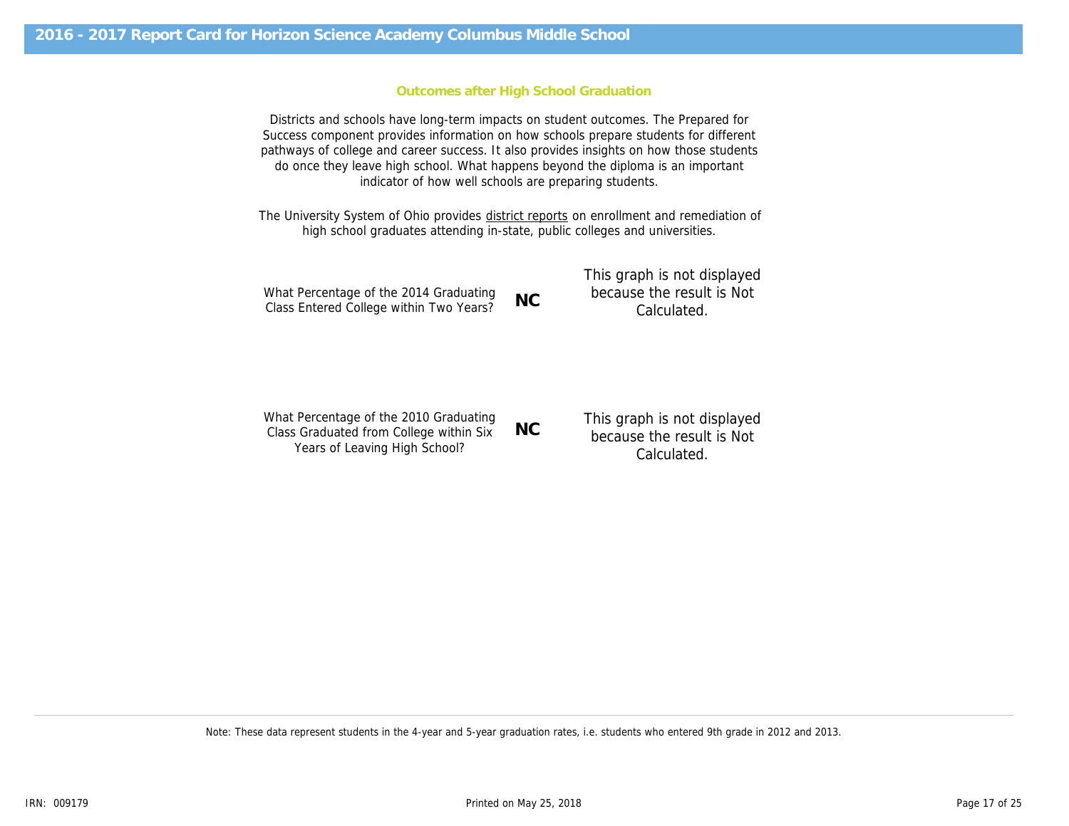### Outcomes after High School Graduation

Districts and schools have long-term impacts on student outcomes. The Prepared for Success component provides information on how schools prepare students for different pathways of college and career success. It also provides insights on how those students do once they leave high school. What happens beyond the diploma is an important indicator of how well schools are preparing students.

The University System of Ohio provides district reports on enrollment and remediation of high school graduates attending in-state, public colleges and universities.

|                                                                                   |           | This graph is not displayed              |
|-----------------------------------------------------------------------------------|-----------|------------------------------------------|
| What Percentage of the 2014 Graduating<br>Class Entered College within Two Years? | <b>NC</b> | because the result is Not<br>Calculated. |
|                                                                                   |           |                                          |

What Percentage of the 2010 Graduating Class Graduated from College within Six Years of Leaving High School? NC This graph is not displayed because the result is Not Calculated.

Note: These data represent students in the 4-year and 5-year graduation rates, i.e. students who entered 9th grade in 2012 and 2013.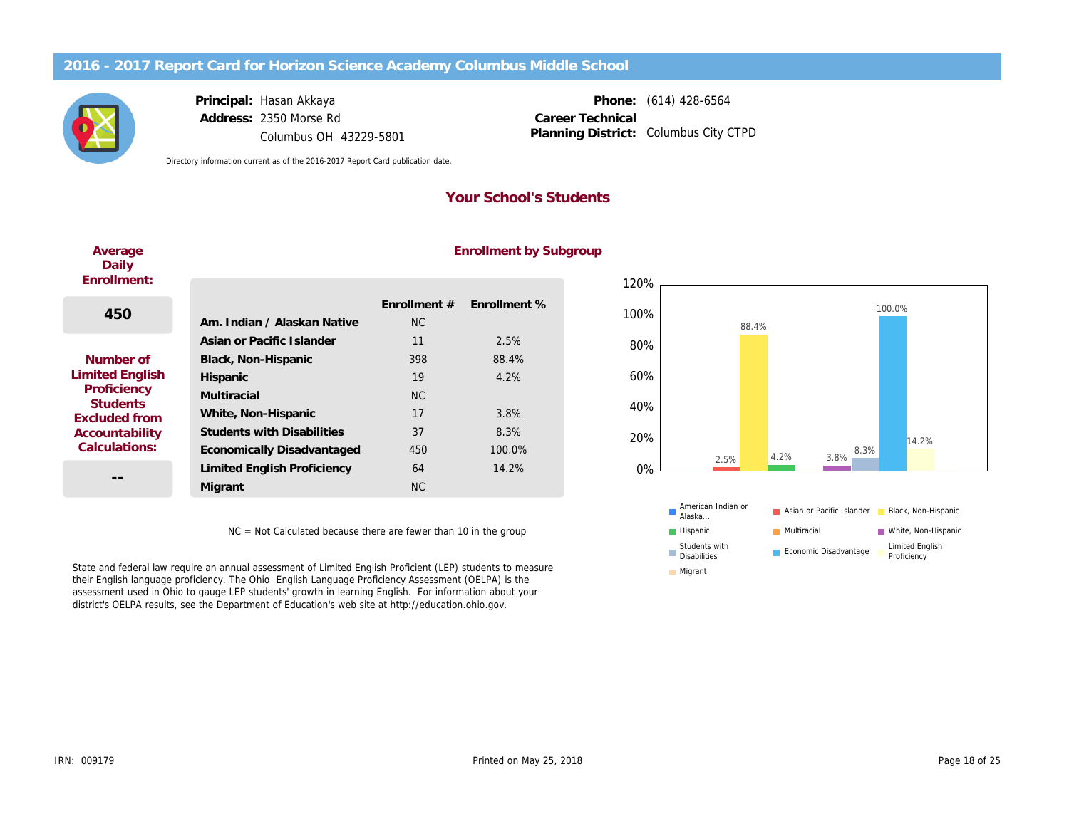Principal: Hasan Akkaya Address: 2350 Morse Rd Columbus OH 43229-5801

Phone: (614) 428-6564 Columbus City CTPD Career Technical Planning District:

Directory information current as of the 2016-2017 Report Card publication date.

## Your School's Students

| Average<br>Daily                                                                                                                 |                                    |              | <b>ENTOMINATE DY 5</b> |
|----------------------------------------------------------------------------------------------------------------------------------|------------------------------------|--------------|------------------------|
| Enrollment:                                                                                                                      |                                    |              |                        |
| 450                                                                                                                              |                                    | Enrollment # | Enrollment %           |
|                                                                                                                                  | Am. Indian / Alaskan Native        | NC.          |                        |
|                                                                                                                                  | Asian or Pacific Islander          | 11           | 2.5%                   |
| Number of<br><b>Limited English</b><br>Proficiency<br><b>Students</b><br><b>Excluded from</b><br>Accountability<br>Calculations: | Black, Non-Hispanic                | 398          | 88.4%                  |
|                                                                                                                                  | Hispanic                           | 19           | 4.2%                   |
|                                                                                                                                  | Multiracial                        | <b>NC</b>    |                        |
|                                                                                                                                  | White, Non-Hispanic                | 17           | 3.8%                   |
|                                                                                                                                  | <b>Students with Disabilities</b>  | 37           | 8.3%                   |
|                                                                                                                                  | Economically Disadvantaged         | 450          | 100.0%                 |
|                                                                                                                                  | <b>Limited English Proficiency</b> | 64           | 14.2%                  |
|                                                                                                                                  | Migrant                            | <b>NC</b>    |                        |
|                                                                                                                                  |                                    |              |                        |

# Enrollment by Subgroup

NC = Not Calculated because there are fewer than 10 in the group

State and federal law require an annual assessment of Limited English Proficient (LEP) students to measure their English language proficiency. The Ohio English Language Proficiency Assessment (OELPA) is the assessment used in Ohio to gauge LEP students' growth in learning English. For information about your district's OELPA results, see the Department of Education's web site at http://education.ohio.gov.

 $\Delta$ verage and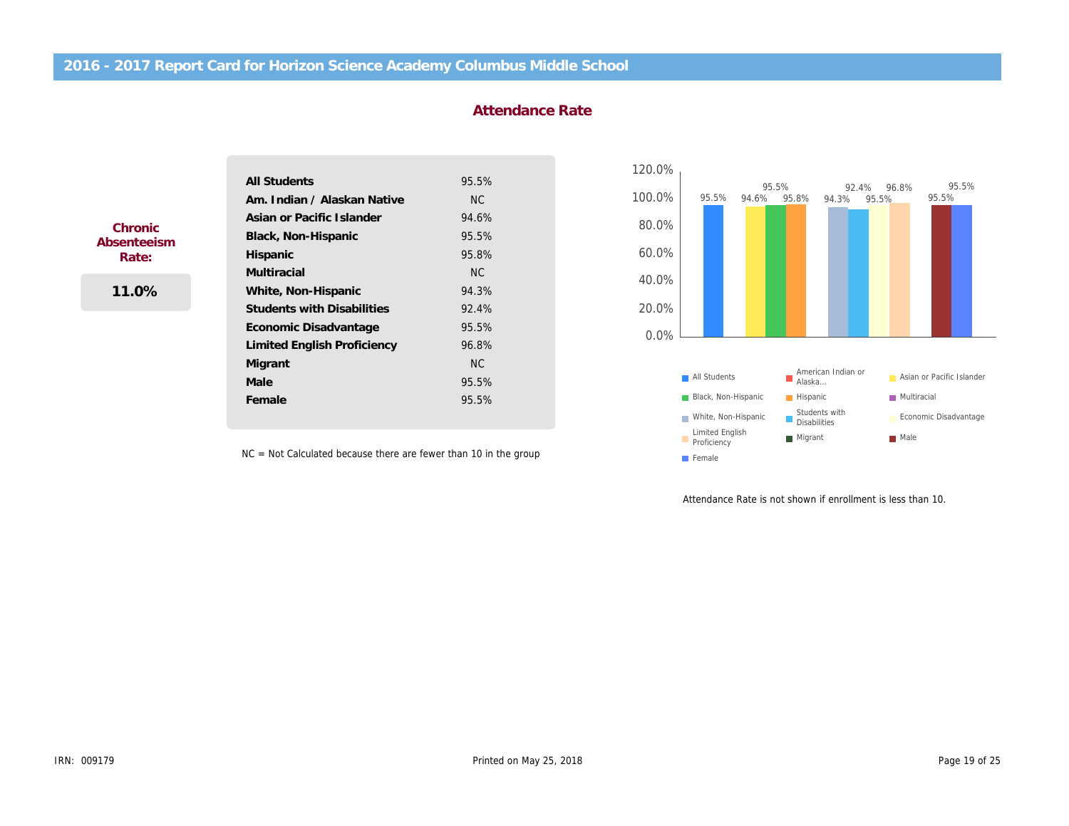### Attendance Rate

|                                          | <b>All Students</b>                | 95.5% |
|------------------------------------------|------------------------------------|-------|
| Chronic<br>Absenteeism<br>Rate:<br>11.0% | Am. Indian / Alaskan Native        | NC.   |
|                                          | Asian or Pacific Islander          | 94.6% |
|                                          | Black, Non-Hispanic                | 95.5% |
|                                          | Hispanic                           | 95.8% |
|                                          | <b>Multiracial</b>                 | NC.   |
|                                          | White, Non-Hispanic                | 94.3% |
|                                          | <b>Students with Disabilities</b>  | 92.4% |
|                                          | Economic Disadvantage              | 95.5% |
|                                          | <b>Limited English Proficiency</b> | 96.8% |
|                                          | Migrant                            | NC.   |
|                                          | Male                               | 95.5% |
|                                          | Female                             | 95.5% |

NC = Not Calculated because there are fewer than 10 in the group

Attendance Rate is not shown if

ļ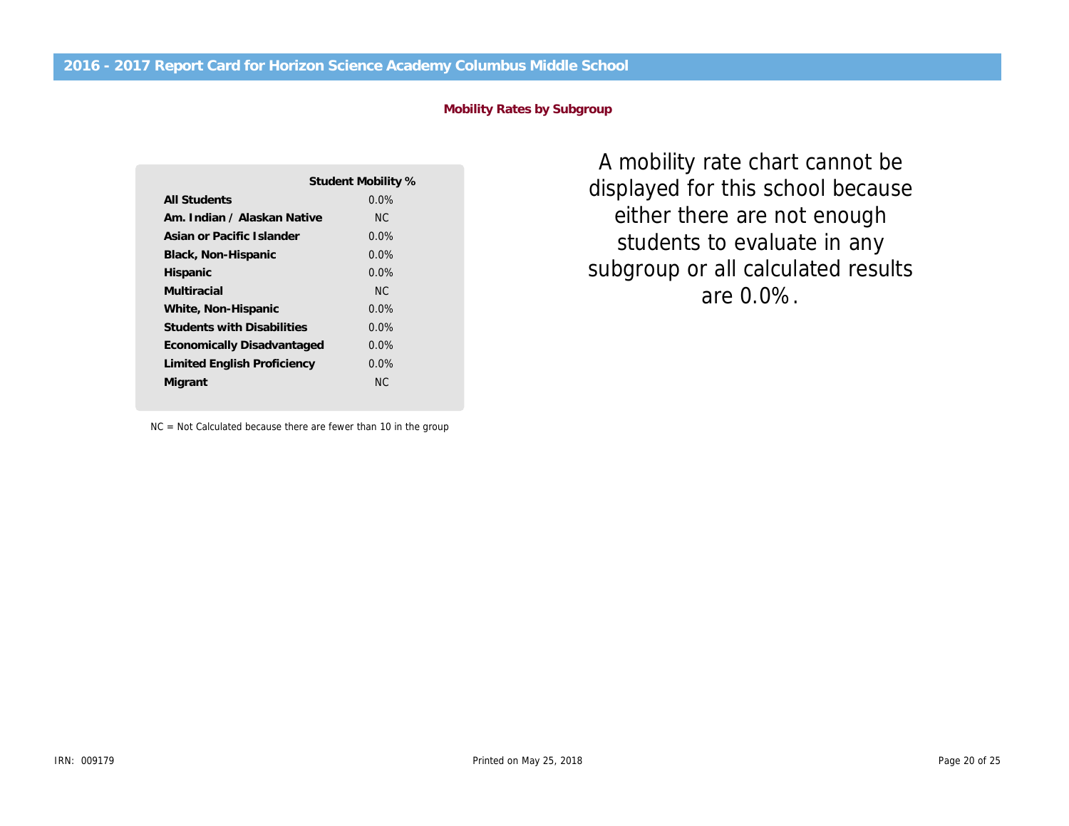### Mobility Rates by Subgroup

|                                   | Student Mobility % |
|-----------------------------------|--------------------|
| All Students                      | $0.0\%$            |
| Am. Indian / Alaskan Native       | NC.                |
| Asian or Pacific Islander         | $0.0\%$            |
| Black, Non-Hispanic               | $0.0\%$            |
| Hispanic                          | $0.0\%$            |
| Multiracial                       | NC.                |
| White, Non-Hispanic               | $0.0\%$            |
| <b>Students with Disabilities</b> | $0.0\%$            |
| Economically Disadvantaged        | $0.0\%$            |
| Limited English Proficiency       | $0.0\%$            |
| Migrant                           | NC.                |

NC = Not Calculated because there are fewer than 10 in the group

A mobility rate chart ca displayed for this school either there are not en students to evaluate i subgroup or all calculate are 0.0%.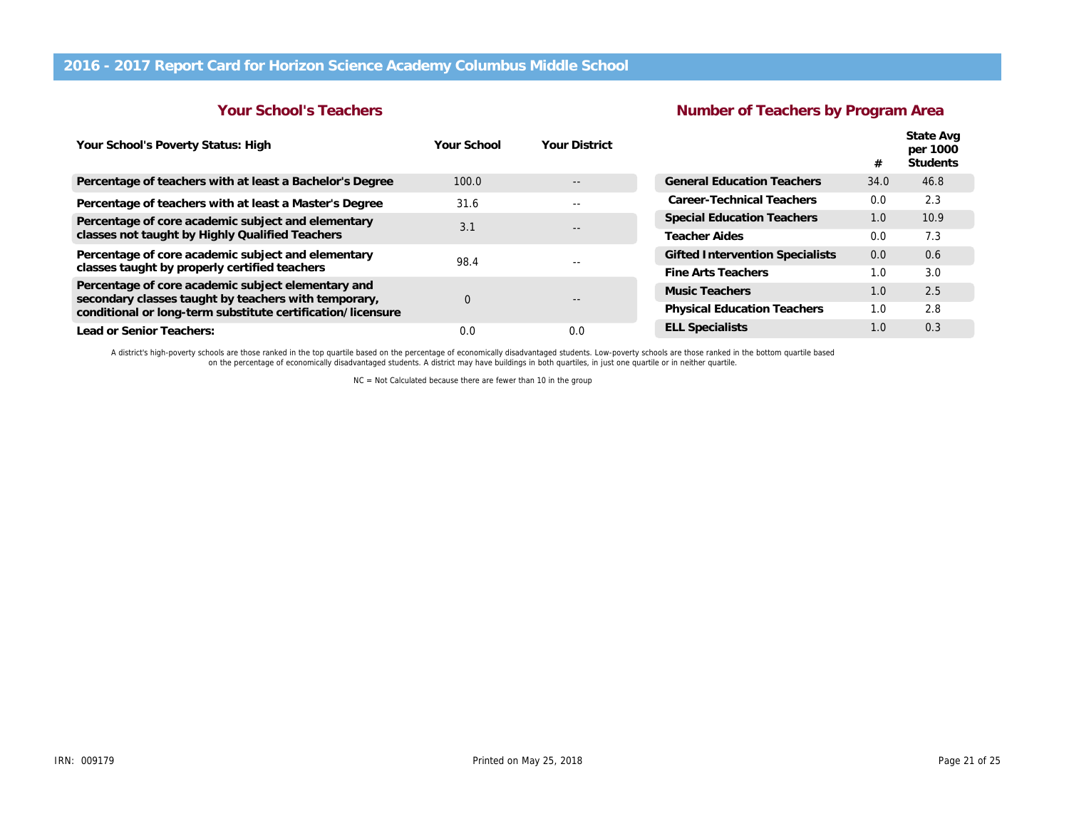### Your School's Teachers

## Number of Teachers by

| Your School's Poverty Status: High                                                                         | Your School | <b>Your District</b> |                                        |
|------------------------------------------------------------------------------------------------------------|-------------|----------------------|----------------------------------------|
| Percentage of teachers with at least a Bachelor's Degree                                                   | 100.0       |                      | <b>General Education Teachers</b>      |
| Percentage of teachers with at least a Master's Degree                                                     | 31.6        | --                   | Career-Technical Teachers              |
| Percentage of core academic subject and elementary                                                         | 3.1         |                      | <b>Special Education Teachers</b>      |
| classes not taught by Highly Qualified Teachers                                                            |             |                      | <b>Teacher Aides</b>                   |
| Percentage of core academic subject and elementary                                                         |             | 98.4                 | <b>Gifted Intervention Specialists</b> |
| classes taught by properly certified teachers                                                              |             |                      | <b>Fine Arts Teachers</b>              |
| Percentage of core academic subject elementary and<br>secondary classes taught by teachers with temporary, | 0           |                      | Music Teachers                         |
| conditional or long-term substitute certification/licensure                                                |             |                      | <b>Physical Education Teachers</b>     |
| Lead or Senior Teachers:                                                                                   | 0.0         | 0.0                  | <b>ELL Specialists</b>                 |
|                                                                                                            |             |                      |                                        |

A district's high-poverty schools are those ranked in the top quartile based on the percentage of economically disadvantaged students. Low-poverty schools are those ranked in the bottom quartile base<br>on the percentage of e

NC = Not Calculated because there are fewer than 10 in the group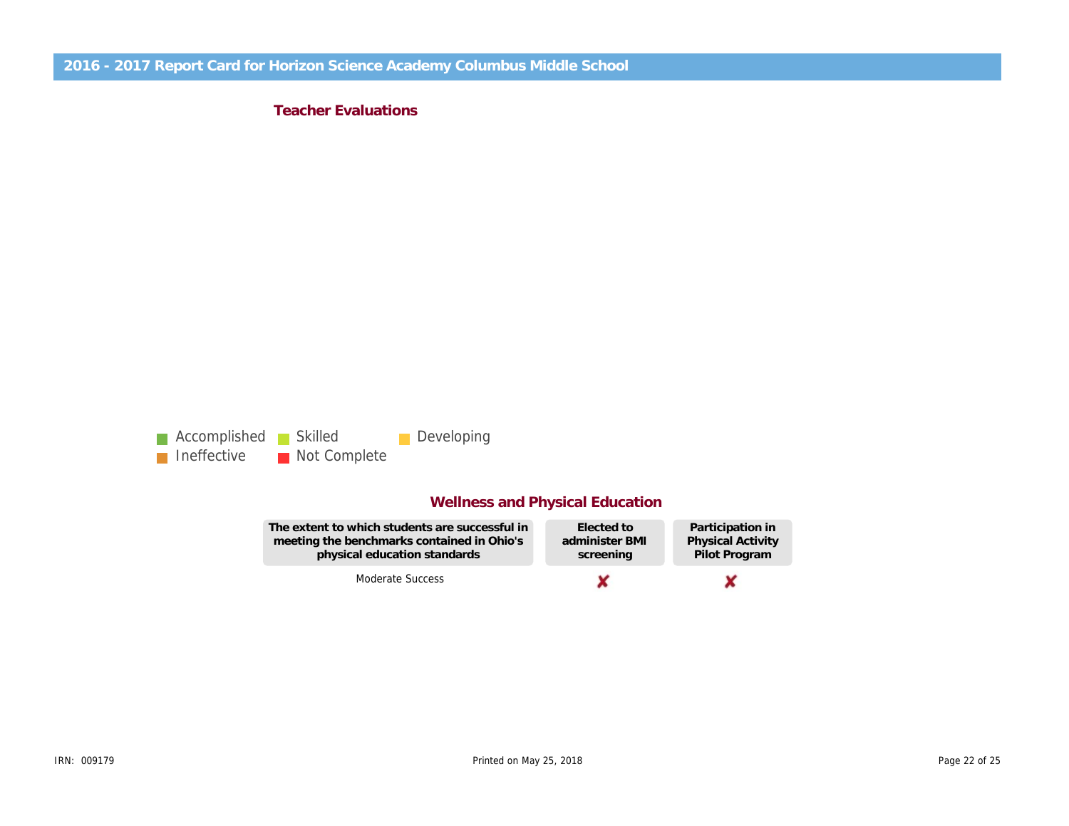Teacher Evaluations

## Wellness and Physical Education

The extent to which students are successful in meeting the benchmarks contained in Ohio's physical education standards

Elected to administer BMI screening

Participation in Physical Activity Pilot Program

Moderate Success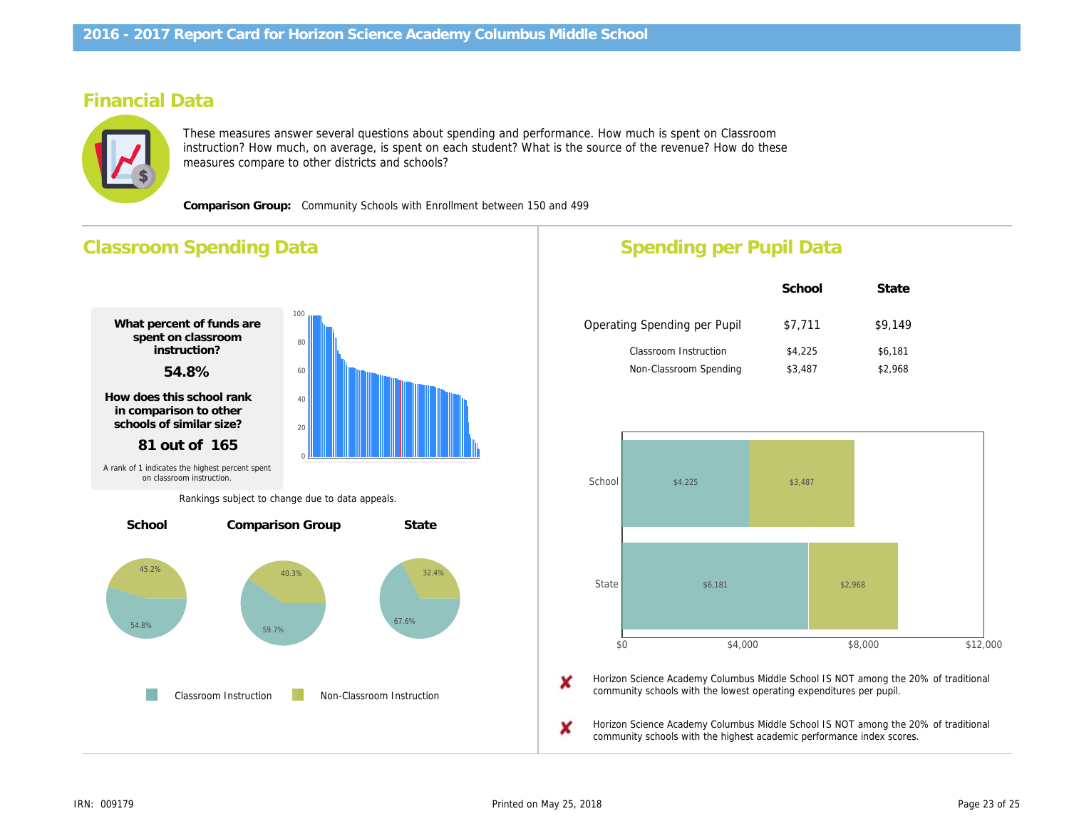## Financial Data

These measures answer several questions about spending and performance. How much is spent on Classroom instruction? How much, on average, is spent on each student? What is the source of the revenue? How do these measures compare to other districts and schools?

Comparison Group: Community Schools with Enrollment between 150 and 499

## Classroom Spending Data What percent of funds are spent on classroom instruction? 54.8% How does this school rank in comparison to other schools of similar size? 81 out of 165 Percentage Spent for Non-Classroom Instruction 45.2% Rank in comparison group for highest % spent 76 out of 165 School Comparison Group State Classroom Instruction Non-Classroom Instruction A rank of 1 indicates the highest percent spent on classroom instruction. Rankings subject to change due to data appeals. Spending per Pupil Data School Operating Spending per Pupil \$7,711 Classroom Instruction \$4,225 Non-Classroom Spending \$3,487 Horizon Science Academy Columbus Middle School community schools with the lowest operating expend Horizon Science Academy Columbus Middle School community schools with the highest academic perfo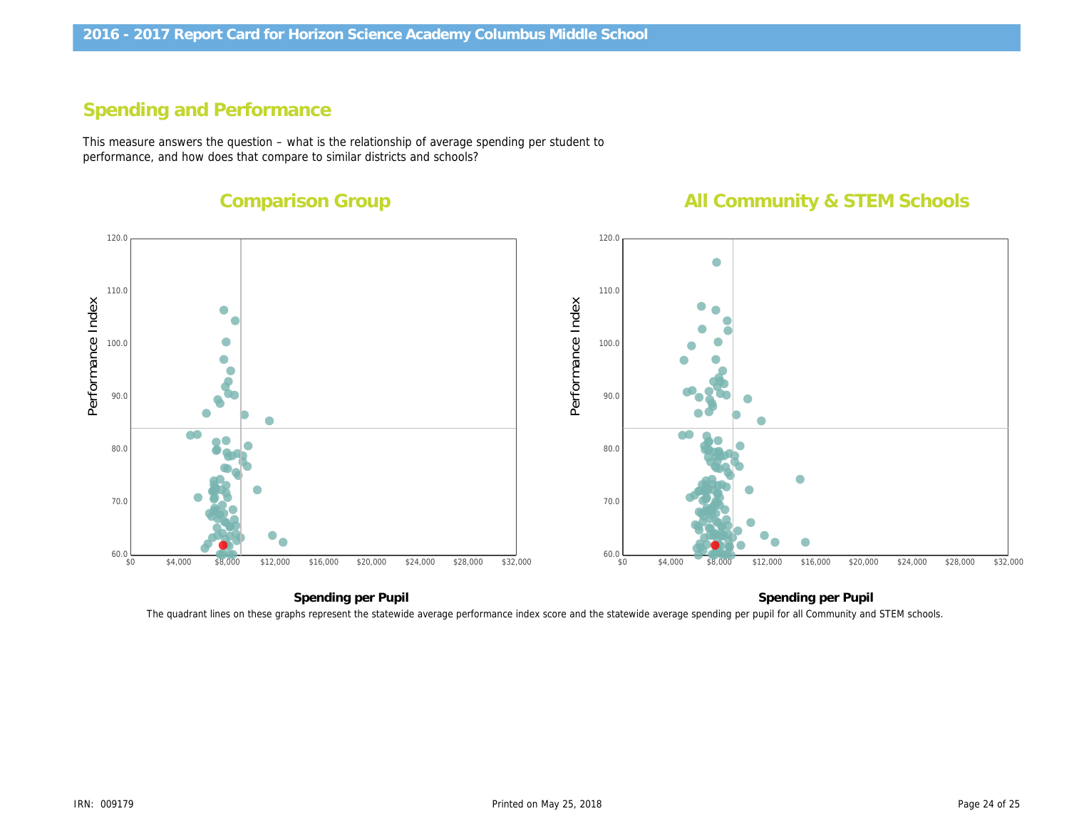# Spending and Performance

This measure answers the question – what is the relationship of average spending per student to performance, and how does that compare to similar districts and schools?

Comparison Group

All Community &

Performance Index Performance Index

Spending per Pupil Spending pe The quadrant lines on these graphs represent the statewide average performance index score and the statewide average spending per pupil for all Com